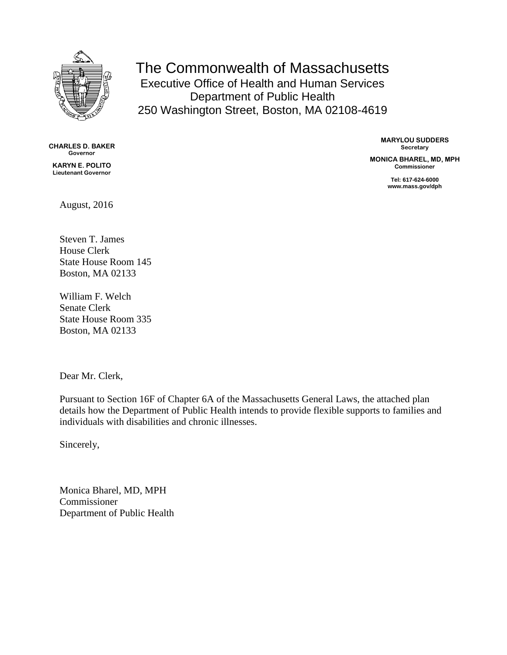

The Commonwealth of Massachusetts Executive Office of Health and Human Services Department of Public Health 250 Washington Street, Boston, MA 02108-4619

**CHARLES D. BAKER Governor**

**KARYN E. POLITO Lieutenant Governor** **MARYLOU SUDDERS Secretary**

**MONICA BHAREL, MD, MPH Commissioner**

> **Tel: 617-624-6000 www.mass.gov/dph**

August, 2016

Steven T. James House Clerk State House Room 145 Boston, MA 02133

William F. Welch Senate Clerk State House Room 335 Boston, MA 02133

Dear Mr. Clerk,

Pursuant to Section 16F of Chapter 6A of the Massachusetts General Laws, the attached plan details how the Department of Public Health intends to provide flexible supports to families and individuals with disabilities and chronic illnesses.

Sincerely,

Monica Bharel, MD, MPH Commissioner Department of Public Health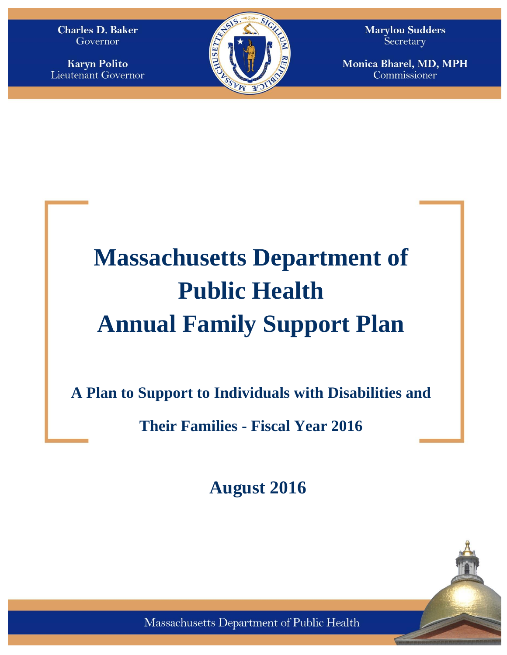**Charles D. Baker** Governor

**Karyn Polito** Lieutenant Governor



**Marylou Sudders** Secretary

Monica Bharel, MD, MPH Commissioner

# **Massachusetts Department of Public Health Annual Family Support Plan**

**A Plan to Support to Individuals with Disabilities and** 

**Their Families - Fiscal Year 2016**

**August 2016**



Massachusetts Department of Public Health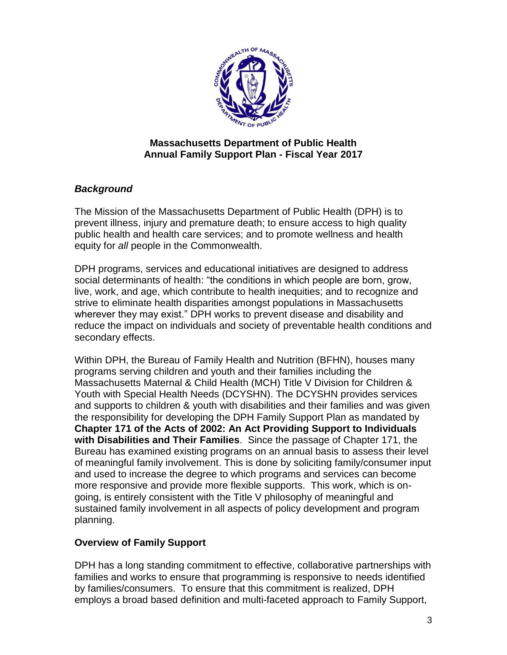

# **Massachusetts Department of Public Health Annual Family Support Plan - Fiscal Year 2017**

# *Background*

The Mission of the Massachusetts Department of Public Health (DPH) is to prevent illness, injury and premature death; to ensure access to high quality public health and health care services; and to promote wellness and health equity for *all* people in the Commonwealth.

DPH programs, services and educational initiatives are designed to address social determinants of health: "the conditions in which people are born, grow, live, work, and age, which contribute to health inequities; and to recognize and strive to eliminate health disparities amongst populations in Massachusetts wherever they may exist." DPH works to prevent disease and disability and reduce the impact on individuals and society of preventable health conditions and secondary effects.

Within DPH, the Bureau of Family Health and Nutrition (BFHN), houses many programs serving children and youth and their families including the Massachusetts Maternal & Child Health (MCH) Title V Division for Children & Youth with Special Health Needs (DCYSHN). The DCYSHN provides services and supports to children & youth with disabilities and their families and was given the responsibility for developing the DPH Family Support Plan as mandated by **Chapter 171 of the Acts of 2002: An Act Providing Support to Individuals with Disabilities and Their Families**. Since the passage of Chapter 171, the Bureau has examined existing programs on an annual basis to assess their level of meaningful family involvement. This is done by soliciting family/consumer input and used to increase the degree to which programs and services can become more responsive and provide more flexible supports. This work, which is ongoing, is entirely consistent with the Title V philosophy of meaningful and sustained family involvement in all aspects of policy development and program planning.

# **Overview of Family Support**

DPH has a long standing commitment to effective, collaborative partnerships with families and works to ensure that programming is responsive to needs identified by families/consumers. To ensure that this commitment is realized, DPH employs a broad based definition and multi-faceted approach to Family Support,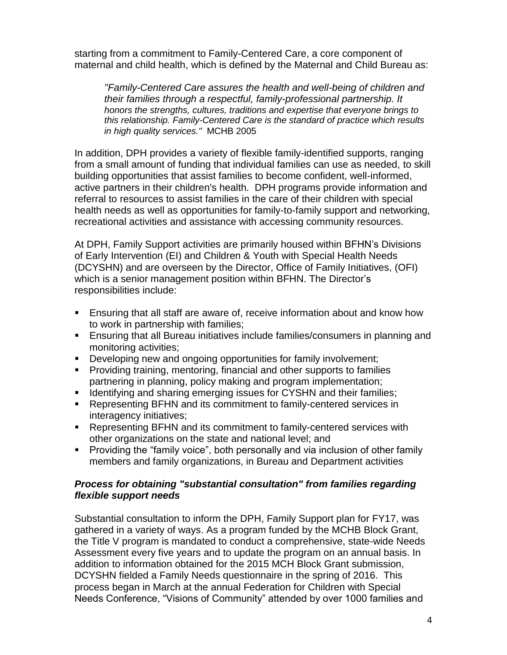starting from a commitment to Family-Centered Care, a core component of maternal and child health, which is defined by the Maternal and Child Bureau as:

*"Family-Centered Care assures the health and well-being of children and their families through a respectful, family-professional partnership. It honors the strengths, cultures, traditions and expertise that everyone brings to this relationship. Family-Centered Care is the standard of practice which results in high quality services."* MCHB 2005

In addition, DPH provides a variety of flexible family-identified supports, ranging from a small amount of funding that individual families can use as needed, to skill building opportunities that assist families to become confident, well-informed, active partners in their children's health. DPH programs provide information and referral to resources to assist families in the care of their children with special health needs as well as opportunities for family-to-family support and networking, recreational activities and assistance with accessing community resources.

At DPH, Family Support activities are primarily housed within BFHN's Divisions of Early Intervention (EI) and Children & Youth with Special Health Needs (DCYSHN) and are overseen by the Director, Office of Family Initiatives, (OFI) which is a senior management position within BFHN. The Director's responsibilities include:

- Ensuring that all staff are aware of, receive information about and know how to work in partnership with families;
- Ensuring that all Bureau initiatives include families/consumers in planning and monitoring activities;
- Developing new and ongoing opportunities for family involvement;
- Providing training, mentoring, financial and other supports to families partnering in planning, policy making and program implementation;
- **If Identifying and sharing emerging issues for CYSHN and their families;**
- Representing BFHN and its commitment to family-centered services in interagency initiatives;
- Representing BFHN and its commitment to family-centered services with other organizations on the state and national level; and
- **Providing the "family voice", both personally and via inclusion of other family** members and family organizations, in Bureau and Department activities

## *Process for obtaining "substantial consultation" from families regarding flexible support needs*

Substantial consultation to inform the DPH, Family Support plan for FY17, was gathered in a variety of ways. As a program funded by the MCHB Block Grant, the Title V program is mandated to conduct a comprehensive, state-wide Needs Assessment every five years and to update the program on an annual basis. In addition to information obtained for the 2015 MCH Block Grant submission, DCYSHN fielded a Family Needs questionnaire in the spring of 2016. This process began in March at the annual Federation for Children with Special Needs Conference, "Visions of Community" attended by over 1000 families and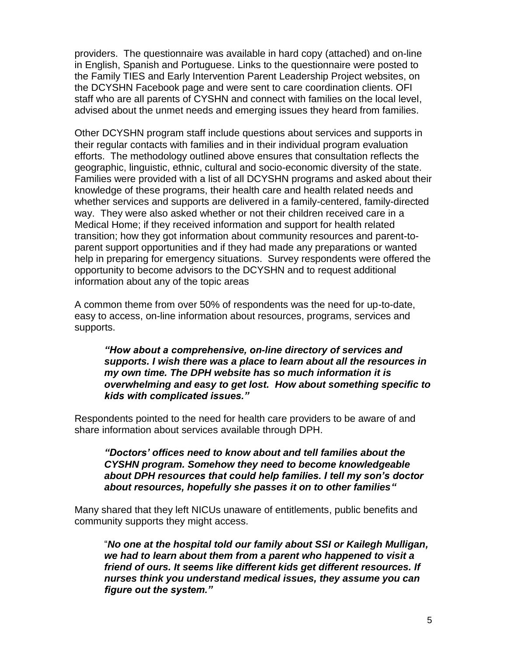providers. The questionnaire was available in hard copy (attached) and on-line in English, Spanish and Portuguese. Links to the questionnaire were posted to the Family TIES and Early Intervention Parent Leadership Project websites, on the DCYSHN Facebook page and were sent to care coordination clients. OFI staff who are all parents of CYSHN and connect with families on the local level, advised about the unmet needs and emerging issues they heard from families.

Other DCYSHN program staff include questions about services and supports in their regular contacts with families and in their individual program evaluation efforts. The methodology outlined above ensures that consultation reflects the geographic, linguistic, ethnic, cultural and socio-economic diversity of the state. Families were provided with a list of all DCYSHN programs and asked about their knowledge of these programs, their health care and health related needs and whether services and supports are delivered in a family-centered, family-directed way. They were also asked whether or not their children received care in a Medical Home; if they received information and support for health related transition; how they got information about community resources and parent-toparent support opportunities and if they had made any preparations or wanted help in preparing for emergency situations. Survey respondents were offered the opportunity to become advisors to the DCYSHN and to request additional information about any of the topic areas

A common theme from over 50% of respondents was the need for up-to-date, easy to access, on-line information about resources, programs, services and supports.

*"How about a comprehensive, on-line directory of services and supports. I wish there was a place to learn about all the resources in my own time. The DPH website has so much information it is overwhelming and easy to get lost. How about something specific to kids with complicated issues."*

Respondents pointed to the need for health care providers to be aware of and share information about services available through DPH.

*"Doctors' offices need to know about and tell families about the CYSHN program. Somehow they need to become knowledgeable about DPH resources that could help families. I tell my son's doctor about resources, hopefully she passes it on to other families"*

Many shared that they left NICUs unaware of entitlements, public benefits and community supports they might access.

"*No one at the hospital told our family about SSI or Kailegh Mulligan, we had to learn about them from a parent who happened to visit a friend of ours. It seems like different kids get different resources. If nurses think you understand medical issues, they assume you can figure out the system."*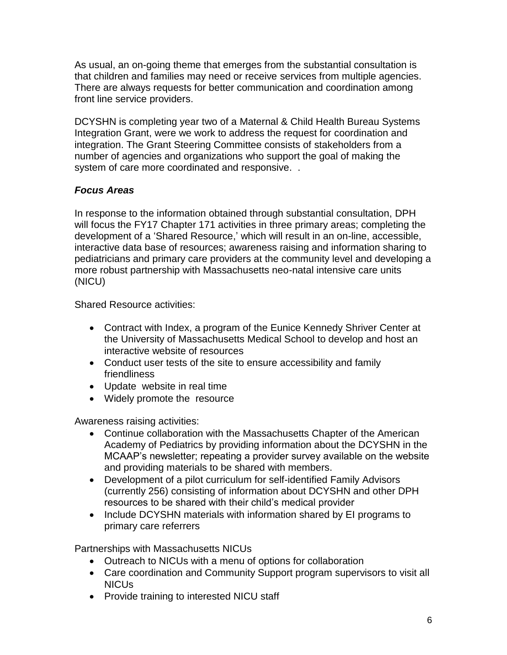As usual, an on-going theme that emerges from the substantial consultation is that children and families may need or receive services from multiple agencies. There are always requests for better communication and coordination among front line service providers.

DCYSHN is completing year two of a Maternal & Child Health Bureau Systems Integration Grant, were we work to address the request for coordination and integration. The Grant Steering Committee consists of stakeholders from a number of agencies and organizations who support the goal of making the system of care more coordinated and responsive. .

# *Focus Areas*

In response to the information obtained through substantial consultation, DPH will focus the FY17 Chapter 171 activities in three primary areas; completing the development of a 'Shared Resource,' which will result in an on-line, accessible, interactive data base of resources; awareness raising and information sharing to pediatricians and primary care providers at the community level and developing a more robust partnership with Massachusetts neo-natal intensive care units (NICU)

Shared Resource activities:

- Contract with Index, a program of the Eunice Kennedy Shriver Center at the University of Massachusetts Medical School to develop and host an interactive website of resources
- Conduct user tests of the site to ensure accessibility and family friendliness
- Update website in real time
- Widely promote the resource

Awareness raising activities:

- Continue collaboration with the Massachusetts Chapter of the American Academy of Pediatrics by providing information about the DCYSHN in the MCAAP's newsletter; repeating a provider survey available on the website and providing materials to be shared with members.
- Development of a pilot curriculum for self-identified Family Advisors (currently 256) consisting of information about DCYSHN and other DPH resources to be shared with their child's medical provider
- Include DCYSHN materials with information shared by EI programs to primary care referrers

Partnerships with Massachusetts NICUs

- Outreach to NICUs with a menu of options for collaboration
- Care coordination and Community Support program supervisors to visit all NICUs
- Provide training to interested NICU staff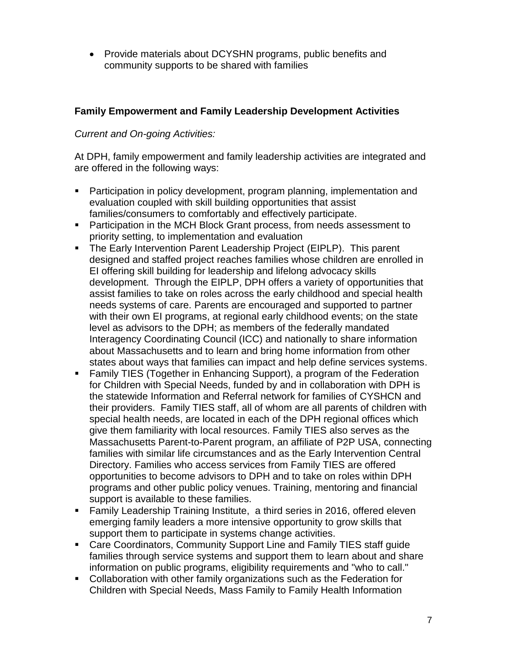• Provide materials about DCYSHN programs, public benefits and community supports to be shared with families

# **Family Empowerment and Family Leadership Development Activities**

# *Current and On-going Activities:*

At DPH, family empowerment and family leadership activities are integrated and are offered in the following ways:

- **Participation in policy development, program planning, implementation and** evaluation coupled with skill building opportunities that assist families/consumers to comfortably and effectively participate.
- Participation in the MCH Block Grant process, from needs assessment to priority setting, to implementation and evaluation
- The Early Intervention Parent Leadership Project (EIPLP). This parent designed and staffed project reaches families whose children are enrolled in EI offering skill building for leadership and lifelong advocacy skills development. Through the EIPLP, DPH offers a variety of opportunities that assist families to take on roles across the early childhood and special health needs systems of care. Parents are encouraged and supported to partner with their own EI programs, at regional early childhood events; on the state level as advisors to the DPH; as members of the federally mandated Interagency Coordinating Council (ICC) and nationally to share information about Massachusetts and to learn and bring home information from other states about ways that families can impact and help define services systems.
- Family TIES (Together in Enhancing Support), a program of the Federation for Children with Special Needs, funded by and in collaboration with DPH is the statewide Information and Referral network for families of CYSHCN and their providers. Family TIES staff, all of whom are all parents of children with special health needs, are located in each of the DPH regional offices which give them familiarity with local resources. Family TIES also serves as the Massachusetts Parent-to-Parent program, an affiliate of P2P USA, connecting families with similar life circumstances and as the Early Intervention Central Directory. Families who access services from Family TIES are offered opportunities to become advisors to DPH and to take on roles within DPH programs and other public policy venues. Training, mentoring and financial support is available to these families.
- **Family Leadership Training Institute, a third series in 2016, offered eleven** emerging family leaders a more intensive opportunity to grow skills that support them to participate in systems change activities.
- Care Coordinators, Community Support Line and Family TIES staff guide families through service systems and support them to learn about and share information on public programs, eligibility requirements and "who to call."
- Collaboration with other family organizations such as the Federation for Children with Special Needs, Mass Family to Family Health Information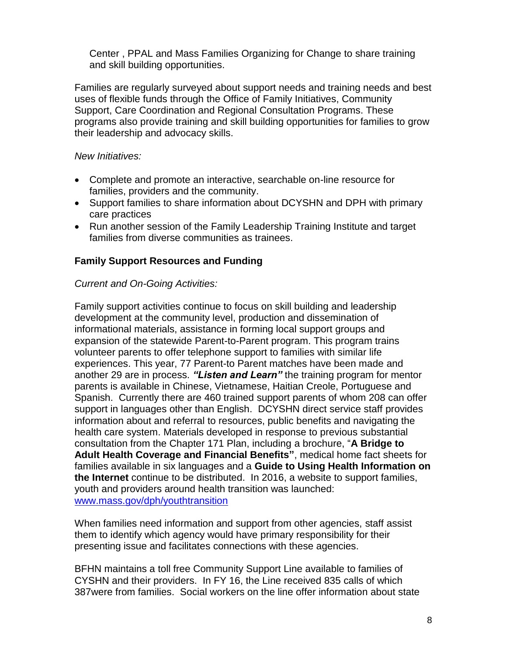Center , PPAL and Mass Families Organizing for Change to share training and skill building opportunities.

Families are regularly surveyed about support needs and training needs and best uses of flexible funds through the Office of Family Initiatives, Community Support, Care Coordination and Regional Consultation Programs. These programs also provide training and skill building opportunities for families to grow their leadership and advocacy skills.

#### *New Initiatives:*

- Complete and promote an interactive, searchable on-line resource for families, providers and the community.
- Support families to share information about DCYSHN and DPH with primary care practices
- Run another session of the Family Leadership Training Institute and target families from diverse communities as trainees.

## **Family Support Resources and Funding**

## *Current and On-Going Activities:*

Family support activities continue to focus on skill building and leadership development at the community level, production and dissemination of informational materials, assistance in forming local support groups and expansion of the statewide Parent-to-Parent program. This program trains volunteer parents to offer telephone support to families with similar life experiences. This year, 77 Parent-to Parent matches have been made and another 29 are in process. *"Listen and Learn"* the training program for mentor parents is available in Chinese, Vietnamese, Haitian Creole, Portuguese and Spanish. Currently there are 460 trained support parents of whom 208 can offer support in languages other than English. DCYSHN direct service staff provides information about and referral to resources, public benefits and navigating the health care system. Materials developed in response to previous substantial consultation from the Chapter 171 Plan, including a brochure, "**A Bridge to Adult Health Coverage and Financial Benefits"**, medical home fact sheets for families available in six languages and a **Guide to Using Health Information on the Internet** continue to be distributed. In 2016, a website to support families, youth and providers around health transition was launched: [www.mass.gov/dph/youthtransition](http://www.mass.gov/dph/youthtransition)

When families need information and support from other agencies, staff assist them to identify which agency would have primary responsibility for their presenting issue and facilitates connections with these agencies.

BFHN maintains a toll free Community Support Line available to families of CYSHN and their providers. In FY 16, the Line received 835 calls of which 387were from families. Social workers on the line offer information about state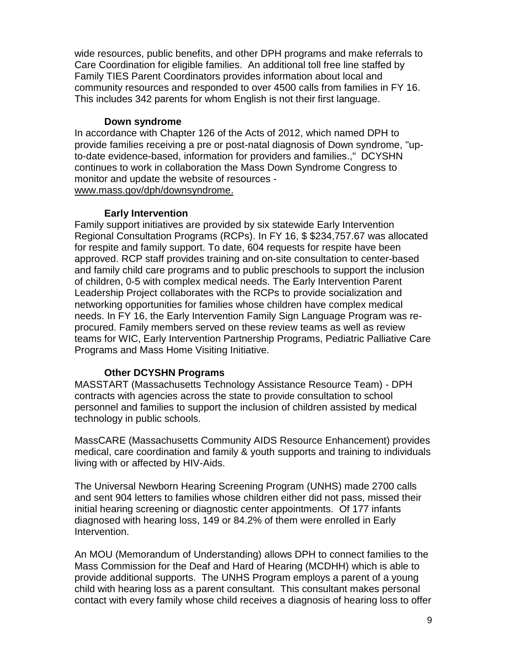wide resources, public benefits, and other DPH programs and make referrals to Care Coordination for eligible families. An additional toll free line staffed by Family TIES Parent Coordinators provides information about local and community resources and responded to over 4500 calls from families in FY 16. This includes 342 parents for whom English is not their first language.

#### **Down syndrome**

In accordance with Chapter 126 of the Acts of 2012, which named DPH to provide families receiving a pre or post-natal diagnosis of Down syndrome, "upto-date evidence-based, information for providers and families.," DCYSHN continues to work in collaboration the Mass Down Syndrome Congress to monitor and update the website of resources [www.mass.gov/dph/downsyndrome.](http://www.mass.gov/dph/downsyndrome)

#### **Early Intervention**

Family support initiatives are provided by six statewide Early Intervention Regional Consultation Programs (RCPs). In FY 16, \$ \$234,757.67 was allocated for respite and family support. To date, 604 requests for respite have been approved. RCP staff provides training and on-site consultation to center-based and family child care programs and to public preschools to support the inclusion of children, 0-5 with complex medical needs. The Early Intervention Parent Leadership Project collaborates with the RCPs to provide socialization and networking opportunities for families whose children have complex medical needs. In FY 16, the Early Intervention Family Sign Language Program was reprocured. Family members served on these review teams as well as review teams for WIC, Early Intervention Partnership Programs, Pediatric Palliative Care Programs and Mass Home Visiting Initiative.

#### **Other DCYSHN Programs**

MASSTART (Massachusetts Technology Assistance Resource Team) - DPH contracts with agencies across the state to provide consultation to school personnel and families to support the inclusion of children assisted by medical technology in public schools.

MassCARE (Massachusetts Community AIDS Resource Enhancement) provides medical, care coordination and family & youth supports and training to individuals living with or affected by HIV-Aids.

The Universal Newborn Hearing Screening Program (UNHS) made 2700 calls and sent 904 letters to families whose children either did not pass, missed their initial hearing screening or diagnostic center appointments. Of 177 infants diagnosed with hearing loss, 149 or 84.2% of them were enrolled in Early Intervention.

An MOU (Memorandum of Understanding) allows DPH to connect families to the Mass Commission for the Deaf and Hard of Hearing (MCDHH) which is able to provide additional supports. The UNHS Program employs a parent of a young child with hearing loss as a parent consultant. This consultant makes personal contact with every family whose child receives a diagnosis of hearing loss to offer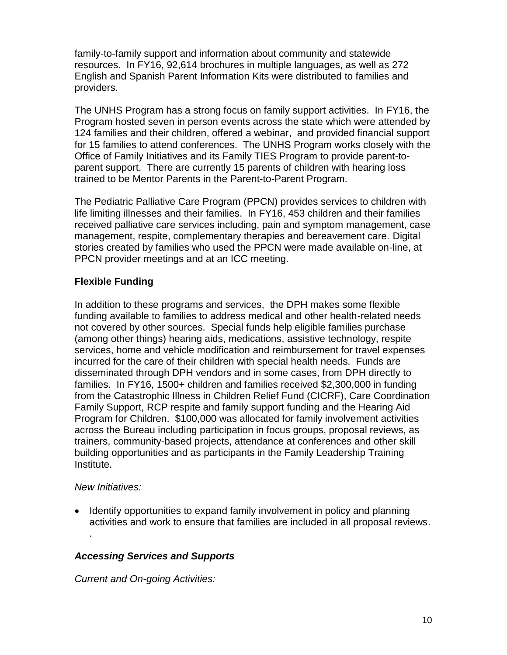family-to-family support and information about community and statewide resources. In FY16, 92,614 brochures in multiple languages, as well as 272 English and Spanish Parent Information Kits were distributed to families and providers.

The UNHS Program has a strong focus on family support activities. In FY16, the Program hosted seven in person events across the state which were attended by 124 families and their children, offered a webinar, and provided financial support for 15 families to attend conferences. The UNHS Program works closely with the Office of Family Initiatives and its Family TIES Program to provide parent-toparent support. There are currently 15 parents of children with hearing loss trained to be Mentor Parents in the Parent-to-Parent Program.

The Pediatric Palliative Care Program (PPCN) provides services to children with life limiting illnesses and their families. In FY16, 453 children and their families received palliative care services including, pain and symptom management, case management, respite, complementary therapies and bereavement care. Digital stories created by families who used the PPCN were made available on-line, at PPCN provider meetings and at an ICC meeting.

# **Flexible Funding**

In addition to these programs and services, the DPH makes some flexible funding available to families to address medical and other health-related needs not covered by other sources. Special funds help eligible families purchase (among other things) hearing aids, medications, assistive technology, respite services, home and vehicle modification and reimbursement for travel expenses incurred for the care of their children with special health needs. Funds are disseminated through DPH vendors and in some cases, from DPH directly to families. In FY16, 1500+ children and families received \$2,300,000 in funding from the Catastrophic Illness in Children Relief Fund (CICRF), Care Coordination Family Support, RCP respite and family support funding and the Hearing Aid Program for Children. \$100,000 was allocated for family involvement activities across the Bureau including participation in focus groups, proposal reviews, as trainers, community-based projects, attendance at conferences and other skill building opportunities and as participants in the Family Leadership Training Institute.

#### *New Initiatives:*

.

• Identify opportunities to expand family involvement in policy and planning activities and work to ensure that families are included in all proposal reviews.

# *Accessing Services and Supports*

*Current and On-going Activities:*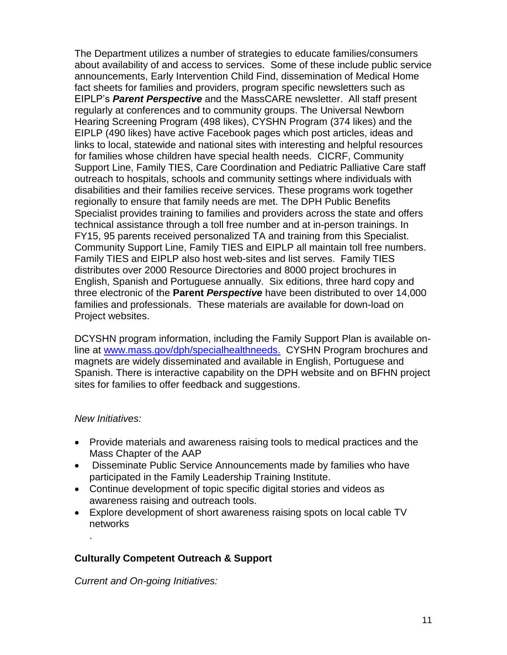The Department utilizes a number of strategies to educate families/consumers about availability of and access to services. Some of these include public service announcements, Early Intervention Child Find, dissemination of Medical Home fact sheets for families and providers, program specific newsletters such as EIPLP's *Parent Perspective* and the MassCARE newsletter. All staff present regularly at conferences and to community groups. The Universal Newborn Hearing Screening Program (498 likes), CYSHN Program (374 likes) and the EIPLP (490 likes) have active Facebook pages which post articles, ideas and links to local, statewide and national sites with interesting and helpful resources for families whose children have special health needs. CICRF, Community Support Line, Family TIES, Care Coordination and Pediatric Palliative Care staff outreach to hospitals, schools and community settings where individuals with disabilities and their families receive services. These programs work together regionally to ensure that family needs are met. The DPH Public Benefits Specialist provides training to families and providers across the state and offers technical assistance through a toll free number and at in-person trainings. In FY15, 95 parents received personalized TA and training from this Specialist. Community Support Line, Family TIES and EIPLP all maintain toll free numbers. Family TIES and EIPLP also host web-sites and list serves. Family TIES distributes over 2000 Resource Directories and 8000 project brochures in English, Spanish and Portuguese annually. Six editions, three hard copy and three electronic of the **Parent** *Perspective* have been distributed to over 14,000 families and professionals. These materials are available for down-load on Project websites.

DCYSHN program information, including the Family Support Plan is available online at [www.mass.gov/dph/specialhealthneeds.](http://www.mass.gov/dph/specialhealthneeds) CYSHN Program brochures and magnets are widely disseminated and available in English, Portuguese and Spanish. There is interactive capability on the DPH website and on BFHN project sites for families to offer feedback and suggestions.

#### *New Initiatives:*

.

- Provide materials and awareness raising tools to medical practices and the Mass Chapter of the AAP
- Disseminate Public Service Announcements made by families who have participated in the Family Leadership Training Institute.
- Continue development of topic specific digital stories and videos as awareness raising and outreach tools.
- Explore development of short awareness raising spots on local cable TV networks

# **Culturally Competent Outreach & Support**

*Current and On-going Initiatives:*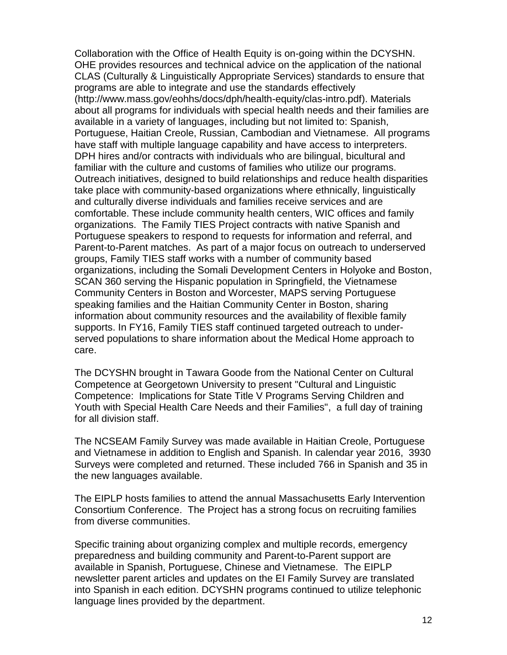Collaboration with the Office of Health Equity is on-going within the DCYSHN. OHE provides resources and technical advice on the application of the national CLAS (Culturally & Linguistically Appropriate Services) standards to ensure that programs are able to integrate and use the standards effectively (http://www.mass.gov/eohhs/docs/dph/health-equity/clas-intro.pdf). Materials about all programs for individuals with special health needs and their families are available in a variety of languages, including but not limited to: Spanish, Portuguese, Haitian Creole, Russian, Cambodian and Vietnamese. All programs have staff with multiple language capability and have access to interpreters. DPH hires and/or contracts with individuals who are bilingual, bicultural and familiar with the culture and customs of families who utilize our programs. Outreach initiatives, designed to build relationships and reduce health disparities take place with community-based organizations where ethnically, linguistically and culturally diverse individuals and families receive services and are comfortable. These include community health centers, WIC offices and family organizations. The Family TIES Project contracts with native Spanish and Portuguese speakers to respond to requests for information and referral, and Parent-to-Parent matches. As part of a major focus on outreach to underserved groups, Family TIES staff works with a number of community based organizations, including the Somali Development Centers in Holyoke and Boston, SCAN 360 serving the Hispanic population in Springfield, the Vietnamese Community Centers in Boston and Worcester, MAPS serving Portuguese speaking families and the Haitian Community Center in Boston, sharing information about community resources and the availability of flexible family supports. In FY16, Family TIES staff continued targeted outreach to underserved populations to share information about the Medical Home approach to care.

The DCYSHN brought in Tawara Goode from the National Center on Cultural Competence at Georgetown University to present "Cultural and Linguistic Competence: Implications for State Title V Programs Serving Children and Youth with Special Health Care Needs and their Families", a full day of training for all division staff.

The NCSEAM Family Survey was made available in Haitian Creole, Portuguese and Vietnamese in addition to English and Spanish. In calendar year 2016, 3930 Surveys were completed and returned. These included 766 in Spanish and 35 in the new languages available.

The EIPLP hosts families to attend the annual Massachusetts Early Intervention Consortium Conference. The Project has a strong focus on recruiting families from diverse communities.

Specific training about organizing complex and multiple records, emergency preparedness and building community and Parent-to-Parent support are available in Spanish, Portuguese, Chinese and Vietnamese. The EIPLP newsletter parent articles and updates on the EI Family Survey are translated into Spanish in each edition. DCYSHN programs continued to utilize telephonic language lines provided by the department.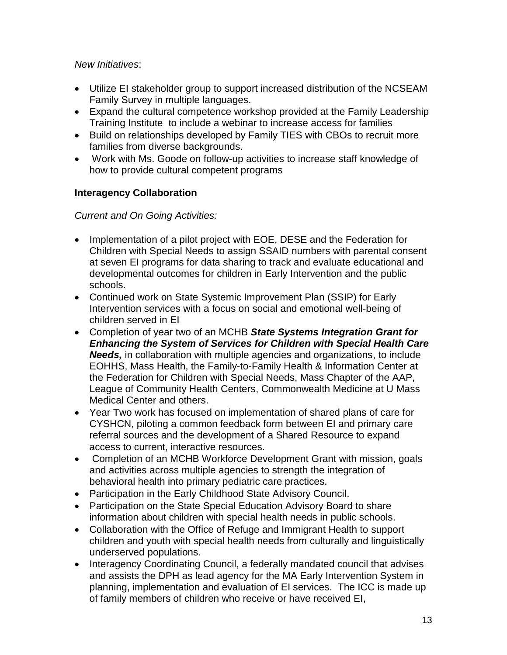## *New Initiatives*:

- Utilize EI stakeholder group to support increased distribution of the NCSEAM Family Survey in multiple languages.
- Expand the cultural competence workshop provided at the Family Leadership Training Institute to include a webinar to increase access for families
- Build on relationships developed by Family TIES with CBOs to recruit more families from diverse backgrounds.
- Work with Ms. Goode on follow-up activities to increase staff knowledge of how to provide cultural competent programs

# **Interagency Collaboration**

# *Current and On Going Activities:*

- Implementation of a pilot project with EOE, DESE and the Federation for Children with Special Needs to assign SSAID numbers with parental consent at seven EI programs for data sharing to track and evaluate educational and developmental outcomes for children in Early Intervention and the public schools.
- Continued work on State Systemic Improvement Plan (SSIP) for Early Intervention services with a focus on social and emotional well-being of children served in EI
- Completion of year two of an MCHB *State Systems Integration Grant for Enhancing the System of Services for Children with Special Health Care Needs,* in collaboration with multiple agencies and organizations, to include EOHHS, Mass Health, the Family-to-Family Health & Information Center at the Federation for Children with Special Needs, Mass Chapter of the AAP, League of Community Health Centers, Commonwealth Medicine at U Mass Medical Center and others.
- Year Two work has focused on implementation of shared plans of care for CYSHCN, piloting a common feedback form between EI and primary care referral sources and the development of a Shared Resource to expand access to current, interactive resources.
- Completion of an MCHB Workforce Development Grant with mission, goals and activities across multiple agencies to strength the integration of behavioral health into primary pediatric care practices.
- Participation in the Early Childhood State Advisory Council.
- Participation on the State Special Education Advisory Board to share information about children with special health needs in public schools.
- Collaboration with the Office of Refuge and Immigrant Health to support children and youth with special health needs from culturally and linguistically underserved populations.
- Interagency Coordinating Council, a federally mandated council that advises and assists the DPH as lead agency for the MA Early Intervention System in planning, implementation and evaluation of EI services. The ICC is made up of family members of children who receive or have received EI,